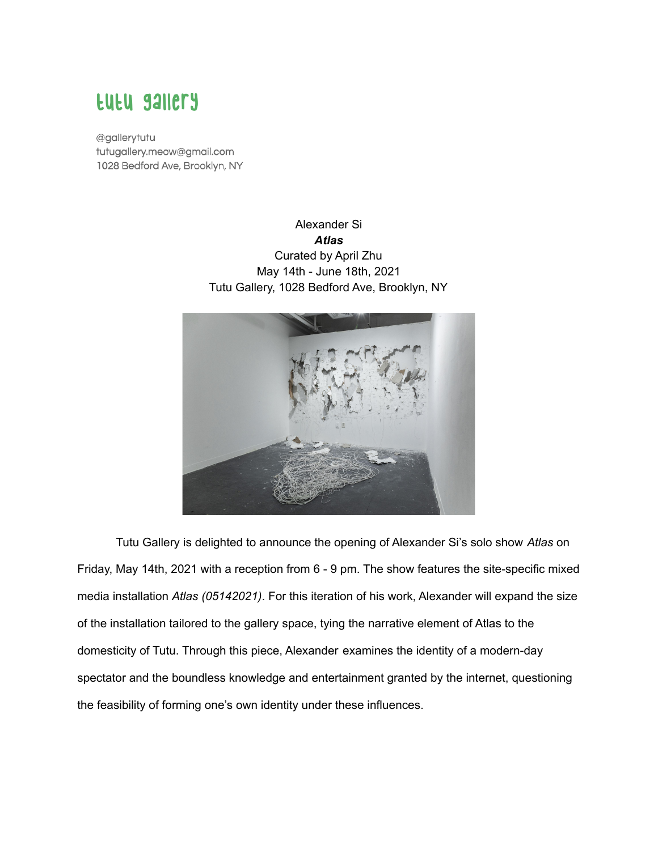## **EUEU SAILETY**

@gallerytutu tutugallery.meow@gmail.com 1028 Bedford Ave, Brooklyn, NY

> Alexander Si *Atlas* Curated by April Zhu May 14th - June 18th, 2021 Tutu Gallery, 1028 Bedford Ave, Brooklyn, NY



Tutu Gallery is delighted to announce the opening of Alexander Si's solo show *Atlas* on Friday, May 14th, 2021 with a reception from 6 - 9 pm. The show features the site-specific mixed media installation *Atlas (05142021)*. For this iteration of his work, Alexander will expand the size of the installation tailored to the gallery space, tying the narrative element of Atlas to the domesticity of Tutu. Through this piece, Alexander examines the identity of a modern-day spectator and the boundless knowledge and entertainment granted by the internet, questioning the feasibility of forming one's own identity under these influences.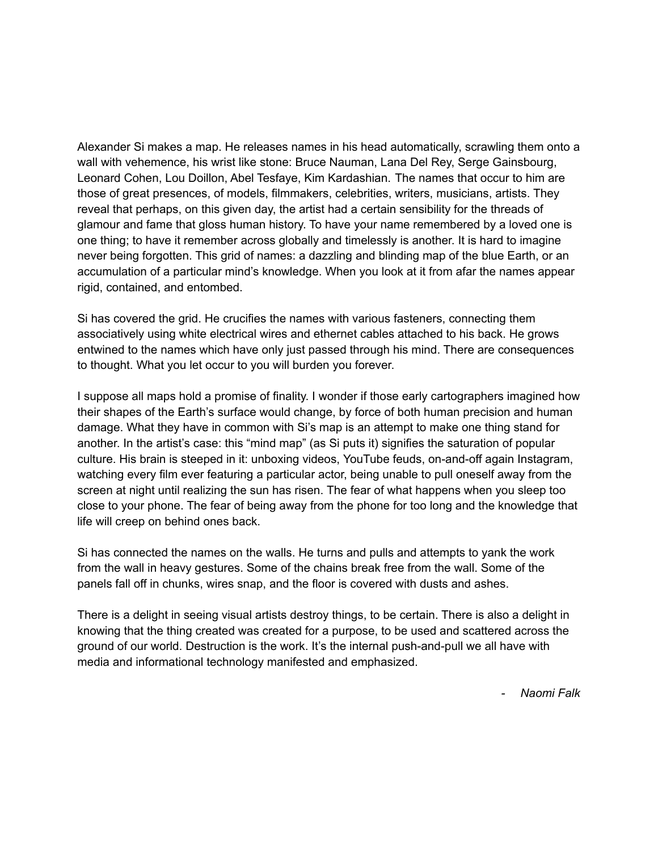Alexander Si makes a map. He releases names in his head automatically, scrawling them onto a wall with vehemence, his wrist like stone: Bruce Nauman, Lana Del Rey, Serge Gainsbourg, Leonard Cohen, Lou Doillon, Abel Tesfaye, Kim Kardashian. The names that occur to him are those of great presences, of models, filmmakers, celebrities, writers, musicians, artists. They reveal that perhaps, on this given day, the artist had a certain sensibility for the threads of glamour and fame that gloss human history. To have your name remembered by a loved one is one thing; to have it remember across globally and timelessly is another. It is hard to imagine never being forgotten. This grid of names: a dazzling and blinding map of the blue Earth, or an accumulation of a particular mind's knowledge. When you look at it from afar the names appear rigid, contained, and entombed.

Si has covered the grid. He crucifies the names with various fasteners, connecting them associatively using white electrical wires and ethernet cables attached to his back. He grows entwined to the names which have only just passed through his mind. There are consequences to thought. What you let occur to you will burden you forever.

I suppose all maps hold a promise of finality. I wonder if those early cartographers imagined how their shapes of the Earth's surface would change, by force of both human precision and human damage. What they have in common with Si's map is an attempt to make one thing stand for another. In the artist's case: this "mind map" (as Si puts it) signifies the saturation of popular culture. His brain is steeped in it: unboxing videos, YouTube feuds, on-and-off again Instagram, watching every film ever featuring a particular actor, being unable to pull oneself away from the screen at night until realizing the sun has risen. The fear of what happens when you sleep too close to your phone. The fear of being away from the phone for too long and the knowledge that life will creep on behind ones back.

Si has connected the names on the walls. He turns and pulls and attempts to yank the work from the wall in heavy gestures. Some of the chains break free from the wall. Some of the panels fall off in chunks, wires snap, and the floor is covered with dusts and ashes.

There is a delight in seeing visual artists destroy things, to be certain. There is also a delight in knowing that the thing created was created for a purpose, to be used and scattered across the ground of our world. Destruction is the work. It's the internal push-and-pull we all have with media and informational technology manifested and emphasized.

*- Naomi Falk*